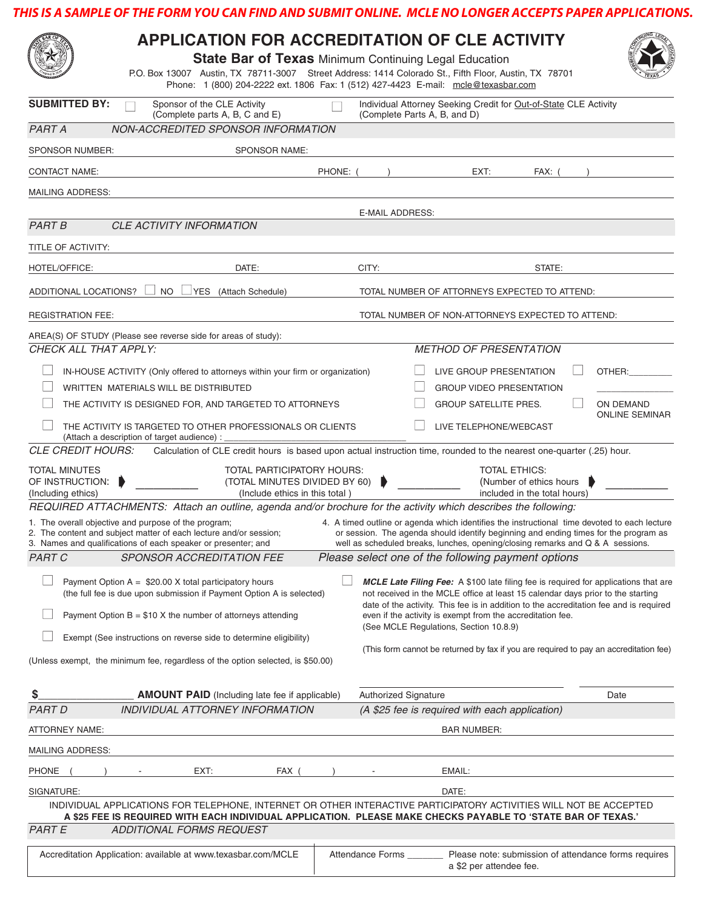## **THIS IS A SAMPLE OF THE FORM YOU CAN FIND AND SUBMIT ONLINE. MCLE NO LONGER ACCEPTS PAPER APPLICATIONS.**

| <b>SUBMITTED BY:</b><br>Sponsor of the CLE Activity<br>Individual Attorney Seeking Credit for Out-of-State CLE Activity<br>(Complete parts A, B, C and E)<br>(Complete Parts A, B, and D)<br><b>PART A</b><br>NON-ACCREDITED SPONSOR INFORMATION<br>SPONSOR NUMBER:<br><b>SPONSOR NAME:</b><br><b>CONTACT NAME:</b><br>PHONE: (<br>EXT:<br>FAX: (<br><b>MAILING ADDRESS:</b><br><b>E-MAIL ADDRESS:</b><br><b>PART B</b><br>CLE ACTIVITY INFORMATION<br>TITLE OF ACTIVITY:<br>DATE:<br>CITY:<br>HOTEL/OFFICE:<br>STATE:<br>ADDITIONAL LOCATIONS?<br>NO.<br>VES (Attach Schedule)<br>TOTAL NUMBER OF ATTORNEYS EXPECTED TO ATTEND:<br><b>REGISTRATION FEE:</b><br>TOTAL NUMBER OF NON-ATTORNEYS EXPECTED TO ATTEND:<br>AREA(S) OF STUDY (Please see reverse side for areas of study):<br>CHECK ALL THAT APPLY:<br><b>METHOD OF PRESENTATION</b><br>LIVE GROUP PRESENTATION<br>IN-HOUSE ACTIVITY (Only offered to attorneys within your firm or organization)<br>OTHER:<br>WRITTEN MATERIALS WILL BE DISTRIBUTED<br><b>GROUP VIDEO PRESENTATION</b><br><b>GROUP SATELLITE PRES.</b><br>ON DEMAND<br>THE ACTIVITY IS DESIGNED FOR, AND TARGETED TO ATTORNEYS<br><b>ONLINE SEMINAR</b><br>THE ACTIVITY IS TARGETED TO OTHER PROFESSIONALS OR CLIENTS<br>LIVE TELEPHONE/WEBCAST<br>(Attach a description of target audience) :<br><b>CLE CREDIT HOURS:</b><br>Calculation of CLE credit hours is based upon actual instruction time, rounded to the nearest one-quarter (.25) hour.<br>TOTAL PARTICIPATORY HOURS:<br><b>TOTAL ETHICS:</b><br><b>TOTAL MINUTES</b><br>OF INSTRUCTION:<br>(TOTAL MINUTES DIVIDED BY 60)<br>(Number of ethics hours<br>(Including ethics)<br>(Include ethics in this total)<br>included in the total hours)<br>REQUIRED ATTACHMENTS: Attach an outline, agenda and/or brochure for the activity which describes the following:<br>1. The overall objective and purpose of the program;<br>4. A timed outline or agenda which identifies the instructional time devoted to each lecture<br>2. The content and subject matter of each lecture and/or session;<br>or session. The agenda should identify beginning and ending times for the program as<br>3. Names and qualifications of each speaker or presenter; and<br>well as scheduled breaks, lunches, opening/closing remarks and Q & A sessions.<br>Please select one of the following payment options<br><b>PART C</b><br>SPONSOR ACCREDITATION FEE<br>Payment Option $A = $20.00 \times \text{total participatory hours}$<br>MCLE Late Filing Fee: A \$100 late filing fee is required for applications that are<br>(the full fee is due upon submission if Payment Option A is selected)<br>not received in the MCLE office at least 15 calendar days prior to the starting<br>date of the activity. This fee is in addition to the accreditation fee and is required<br>Payment Option $B = $10 X$ the number of attorneys attending<br>even if the activity is exempt from the accreditation fee.<br>(See MCLE Regulations, Section 10.8.9)<br>Exempt (See instructions on reverse side to determine eligibility)<br>(This form cannot be returned by fax if you are required to pay an accreditation fee)<br>(Unless exempt, the minimum fee, regardless of the option selected, is \$50.00)<br>\$<br><b>AMOUNT PAID</b> (Including late fee if applicable)<br><b>Authorized Signature</b><br>Date<br><b>PART D</b><br>INDIVIDUAL ATTORNEY INFORMATION<br>(A \$25 fee is required with each application)<br><b>ATTORNEY NAME:</b><br><b>BAR NUMBER:</b><br><b>MAILING ADDRESS:</b><br>EMAIL:<br><b>PHONE</b><br>EXT:<br>FAX (<br>SIGNATURE:<br>DATE:<br>INDIVIDUAL APPLICATIONS FOR TELEPHONE, INTERNET OR OTHER INTERACTIVE PARTICIPATORY ACTIVITIES WILL NOT BE ACCEPTED<br>A \$25 FEE IS REQUIRED WITH EACH INDIVIDUAL APPLICATION. PLEASE MAKE CHECKS PAYABLE TO 'STATE BAR OF TEXAS.'<br><b>PART E</b><br>ADDITIONAL FORMS REQUEST<br>Please note: submission of attendance forms requires<br>Accreditation Application: available at www.texasbar.com/MCLE<br>Attendance Forms<br>a \$2 per attendee fee. |  | <b>APPLICATION FOR ACCREDITATION OF CLE ACTIVITY</b><br><b>State Bar of Texas Minimum Continuing Legal Education</b><br>P.O. Box 13007 Austin, TX 78711-3007 Street Address: 1414 Colorado St., Fifth Floor, Austin, TX 78701<br>Phone: 1 (800) 204-2222 ext. 1806 Fax: 1 (512) 427-4423 E-mail: mcle@texasbar.com |  |  |  |  |  |  |  |  |
|----------------------------------------------------------------------------------------------------------------------------------------------------------------------------------------------------------------------------------------------------------------------------------------------------------------------------------------------------------------------------------------------------------------------------------------------------------------------------------------------------------------------------------------------------------------------------------------------------------------------------------------------------------------------------------------------------------------------------------------------------------------------------------------------------------------------------------------------------------------------------------------------------------------------------------------------------------------------------------------------------------------------------------------------------------------------------------------------------------------------------------------------------------------------------------------------------------------------------------------------------------------------------------------------------------------------------------------------------------------------------------------------------------------------------------------------------------------------------------------------------------------------------------------------------------------------------------------------------------------------------------------------------------------------------------------------------------------------------------------------------------------------------------------------------------------------------------------------------------------------------------------------------------------------------------------------------------------------------------------------------------------------------------------------------------------------------------------------------------------------------------------------------------------------------------------------------------------------------------------------------------------------------------------------------------------------------------------------------------------------------------------------------------------------------------------------------------------------------------------------------------------------------------------------------------------------------------------------------------------------------------------------------------------------------------------------------------------------------------------------------------------------------------------------------------------------------------------------------------------------------------------------------------------------------------------------------------------------------------------------------------------------------------------------------------------------------------------------------------------------------------------------------------------------------------------------------------------------------------------------------------------------------------------------------------------------------------------------------------------------------------------------------------------------------------------------------------------------------------------------------------------------------------------------------------------------------------------------------------------------------------------------------------------------------------------------------------------------------------------------------------------------------------------------------------------------------------------------------------------------------------------------------------------------------------------------------------------------------------------------------------------------------------------------------------------------------------------------------|--|--------------------------------------------------------------------------------------------------------------------------------------------------------------------------------------------------------------------------------------------------------------------------------------------------------------------|--|--|--|--|--|--|--|--|
|                                                                                                                                                                                                                                                                                                                                                                                                                                                                                                                                                                                                                                                                                                                                                                                                                                                                                                                                                                                                                                                                                                                                                                                                                                                                                                                                                                                                                                                                                                                                                                                                                                                                                                                                                                                                                                                                                                                                                                                                                                                                                                                                                                                                                                                                                                                                                                                                                                                                                                                                                                                                                                                                                                                                                                                                                                                                                                                                                                                                                                                                                                                                                                                                                                                                                                                                                                                                                                                                                                                                                                                                                                                                                                                                                                                                                                                                                                                                                                                                                                                                                                    |  |                                                                                                                                                                                                                                                                                                                    |  |  |  |  |  |  |  |  |
|                                                                                                                                                                                                                                                                                                                                                                                                                                                                                                                                                                                                                                                                                                                                                                                                                                                                                                                                                                                                                                                                                                                                                                                                                                                                                                                                                                                                                                                                                                                                                                                                                                                                                                                                                                                                                                                                                                                                                                                                                                                                                                                                                                                                                                                                                                                                                                                                                                                                                                                                                                                                                                                                                                                                                                                                                                                                                                                                                                                                                                                                                                                                                                                                                                                                                                                                                                                                                                                                                                                                                                                                                                                                                                                                                                                                                                                                                                                                                                                                                                                                                                    |  |                                                                                                                                                                                                                                                                                                                    |  |  |  |  |  |  |  |  |
|                                                                                                                                                                                                                                                                                                                                                                                                                                                                                                                                                                                                                                                                                                                                                                                                                                                                                                                                                                                                                                                                                                                                                                                                                                                                                                                                                                                                                                                                                                                                                                                                                                                                                                                                                                                                                                                                                                                                                                                                                                                                                                                                                                                                                                                                                                                                                                                                                                                                                                                                                                                                                                                                                                                                                                                                                                                                                                                                                                                                                                                                                                                                                                                                                                                                                                                                                                                                                                                                                                                                                                                                                                                                                                                                                                                                                                                                                                                                                                                                                                                                                                    |  |                                                                                                                                                                                                                                                                                                                    |  |  |  |  |  |  |  |  |
|                                                                                                                                                                                                                                                                                                                                                                                                                                                                                                                                                                                                                                                                                                                                                                                                                                                                                                                                                                                                                                                                                                                                                                                                                                                                                                                                                                                                                                                                                                                                                                                                                                                                                                                                                                                                                                                                                                                                                                                                                                                                                                                                                                                                                                                                                                                                                                                                                                                                                                                                                                                                                                                                                                                                                                                                                                                                                                                                                                                                                                                                                                                                                                                                                                                                                                                                                                                                                                                                                                                                                                                                                                                                                                                                                                                                                                                                                                                                                                                                                                                                                                    |  |                                                                                                                                                                                                                                                                                                                    |  |  |  |  |  |  |  |  |
|                                                                                                                                                                                                                                                                                                                                                                                                                                                                                                                                                                                                                                                                                                                                                                                                                                                                                                                                                                                                                                                                                                                                                                                                                                                                                                                                                                                                                                                                                                                                                                                                                                                                                                                                                                                                                                                                                                                                                                                                                                                                                                                                                                                                                                                                                                                                                                                                                                                                                                                                                                                                                                                                                                                                                                                                                                                                                                                                                                                                                                                                                                                                                                                                                                                                                                                                                                                                                                                                                                                                                                                                                                                                                                                                                                                                                                                                                                                                                                                                                                                                                                    |  |                                                                                                                                                                                                                                                                                                                    |  |  |  |  |  |  |  |  |
|                                                                                                                                                                                                                                                                                                                                                                                                                                                                                                                                                                                                                                                                                                                                                                                                                                                                                                                                                                                                                                                                                                                                                                                                                                                                                                                                                                                                                                                                                                                                                                                                                                                                                                                                                                                                                                                                                                                                                                                                                                                                                                                                                                                                                                                                                                                                                                                                                                                                                                                                                                                                                                                                                                                                                                                                                                                                                                                                                                                                                                                                                                                                                                                                                                                                                                                                                                                                                                                                                                                                                                                                                                                                                                                                                                                                                                                                                                                                                                                                                                                                                                    |  |                                                                                                                                                                                                                                                                                                                    |  |  |  |  |  |  |  |  |
|                                                                                                                                                                                                                                                                                                                                                                                                                                                                                                                                                                                                                                                                                                                                                                                                                                                                                                                                                                                                                                                                                                                                                                                                                                                                                                                                                                                                                                                                                                                                                                                                                                                                                                                                                                                                                                                                                                                                                                                                                                                                                                                                                                                                                                                                                                                                                                                                                                                                                                                                                                                                                                                                                                                                                                                                                                                                                                                                                                                                                                                                                                                                                                                                                                                                                                                                                                                                                                                                                                                                                                                                                                                                                                                                                                                                                                                                                                                                                                                                                                                                                                    |  |                                                                                                                                                                                                                                                                                                                    |  |  |  |  |  |  |  |  |
|                                                                                                                                                                                                                                                                                                                                                                                                                                                                                                                                                                                                                                                                                                                                                                                                                                                                                                                                                                                                                                                                                                                                                                                                                                                                                                                                                                                                                                                                                                                                                                                                                                                                                                                                                                                                                                                                                                                                                                                                                                                                                                                                                                                                                                                                                                                                                                                                                                                                                                                                                                                                                                                                                                                                                                                                                                                                                                                                                                                                                                                                                                                                                                                                                                                                                                                                                                                                                                                                                                                                                                                                                                                                                                                                                                                                                                                                                                                                                                                                                                                                                                    |  |                                                                                                                                                                                                                                                                                                                    |  |  |  |  |  |  |  |  |
|                                                                                                                                                                                                                                                                                                                                                                                                                                                                                                                                                                                                                                                                                                                                                                                                                                                                                                                                                                                                                                                                                                                                                                                                                                                                                                                                                                                                                                                                                                                                                                                                                                                                                                                                                                                                                                                                                                                                                                                                                                                                                                                                                                                                                                                                                                                                                                                                                                                                                                                                                                                                                                                                                                                                                                                                                                                                                                                                                                                                                                                                                                                                                                                                                                                                                                                                                                                                                                                                                                                                                                                                                                                                                                                                                                                                                                                                                                                                                                                                                                                                                                    |  |                                                                                                                                                                                                                                                                                                                    |  |  |  |  |  |  |  |  |
|                                                                                                                                                                                                                                                                                                                                                                                                                                                                                                                                                                                                                                                                                                                                                                                                                                                                                                                                                                                                                                                                                                                                                                                                                                                                                                                                                                                                                                                                                                                                                                                                                                                                                                                                                                                                                                                                                                                                                                                                                                                                                                                                                                                                                                                                                                                                                                                                                                                                                                                                                                                                                                                                                                                                                                                                                                                                                                                                                                                                                                                                                                                                                                                                                                                                                                                                                                                                                                                                                                                                                                                                                                                                                                                                                                                                                                                                                                                                                                                                                                                                                                    |  |                                                                                                                                                                                                                                                                                                                    |  |  |  |  |  |  |  |  |
|                                                                                                                                                                                                                                                                                                                                                                                                                                                                                                                                                                                                                                                                                                                                                                                                                                                                                                                                                                                                                                                                                                                                                                                                                                                                                                                                                                                                                                                                                                                                                                                                                                                                                                                                                                                                                                                                                                                                                                                                                                                                                                                                                                                                                                                                                                                                                                                                                                                                                                                                                                                                                                                                                                                                                                                                                                                                                                                                                                                                                                                                                                                                                                                                                                                                                                                                                                                                                                                                                                                                                                                                                                                                                                                                                                                                                                                                                                                                                                                                                                                                                                    |  |                                                                                                                                                                                                                                                                                                                    |  |  |  |  |  |  |  |  |
|                                                                                                                                                                                                                                                                                                                                                                                                                                                                                                                                                                                                                                                                                                                                                                                                                                                                                                                                                                                                                                                                                                                                                                                                                                                                                                                                                                                                                                                                                                                                                                                                                                                                                                                                                                                                                                                                                                                                                                                                                                                                                                                                                                                                                                                                                                                                                                                                                                                                                                                                                                                                                                                                                                                                                                                                                                                                                                                                                                                                                                                                                                                                                                                                                                                                                                                                                                                                                                                                                                                                                                                                                                                                                                                                                                                                                                                                                                                                                                                                                                                                                                    |  |                                                                                                                                                                                                                                                                                                                    |  |  |  |  |  |  |  |  |
|                                                                                                                                                                                                                                                                                                                                                                                                                                                                                                                                                                                                                                                                                                                                                                                                                                                                                                                                                                                                                                                                                                                                                                                                                                                                                                                                                                                                                                                                                                                                                                                                                                                                                                                                                                                                                                                                                                                                                                                                                                                                                                                                                                                                                                                                                                                                                                                                                                                                                                                                                                                                                                                                                                                                                                                                                                                                                                                                                                                                                                                                                                                                                                                                                                                                                                                                                                                                                                                                                                                                                                                                                                                                                                                                                                                                                                                                                                                                                                                                                                                                                                    |  |                                                                                                                                                                                                                                                                                                                    |  |  |  |  |  |  |  |  |
|                                                                                                                                                                                                                                                                                                                                                                                                                                                                                                                                                                                                                                                                                                                                                                                                                                                                                                                                                                                                                                                                                                                                                                                                                                                                                                                                                                                                                                                                                                                                                                                                                                                                                                                                                                                                                                                                                                                                                                                                                                                                                                                                                                                                                                                                                                                                                                                                                                                                                                                                                                                                                                                                                                                                                                                                                                                                                                                                                                                                                                                                                                                                                                                                                                                                                                                                                                                                                                                                                                                                                                                                                                                                                                                                                                                                                                                                                                                                                                                                                                                                                                    |  |                                                                                                                                                                                                                                                                                                                    |  |  |  |  |  |  |  |  |
|                                                                                                                                                                                                                                                                                                                                                                                                                                                                                                                                                                                                                                                                                                                                                                                                                                                                                                                                                                                                                                                                                                                                                                                                                                                                                                                                                                                                                                                                                                                                                                                                                                                                                                                                                                                                                                                                                                                                                                                                                                                                                                                                                                                                                                                                                                                                                                                                                                                                                                                                                                                                                                                                                                                                                                                                                                                                                                                                                                                                                                                                                                                                                                                                                                                                                                                                                                                                                                                                                                                                                                                                                                                                                                                                                                                                                                                                                                                                                                                                                                                                                                    |  |                                                                                                                                                                                                                                                                                                                    |  |  |  |  |  |  |  |  |
|                                                                                                                                                                                                                                                                                                                                                                                                                                                                                                                                                                                                                                                                                                                                                                                                                                                                                                                                                                                                                                                                                                                                                                                                                                                                                                                                                                                                                                                                                                                                                                                                                                                                                                                                                                                                                                                                                                                                                                                                                                                                                                                                                                                                                                                                                                                                                                                                                                                                                                                                                                                                                                                                                                                                                                                                                                                                                                                                                                                                                                                                                                                                                                                                                                                                                                                                                                                                                                                                                                                                                                                                                                                                                                                                                                                                                                                                                                                                                                                                                                                                                                    |  |                                                                                                                                                                                                                                                                                                                    |  |  |  |  |  |  |  |  |
|                                                                                                                                                                                                                                                                                                                                                                                                                                                                                                                                                                                                                                                                                                                                                                                                                                                                                                                                                                                                                                                                                                                                                                                                                                                                                                                                                                                                                                                                                                                                                                                                                                                                                                                                                                                                                                                                                                                                                                                                                                                                                                                                                                                                                                                                                                                                                                                                                                                                                                                                                                                                                                                                                                                                                                                                                                                                                                                                                                                                                                                                                                                                                                                                                                                                                                                                                                                                                                                                                                                                                                                                                                                                                                                                                                                                                                                                                                                                                                                                                                                                                                    |  |                                                                                                                                                                                                                                                                                                                    |  |  |  |  |  |  |  |  |
|                                                                                                                                                                                                                                                                                                                                                                                                                                                                                                                                                                                                                                                                                                                                                                                                                                                                                                                                                                                                                                                                                                                                                                                                                                                                                                                                                                                                                                                                                                                                                                                                                                                                                                                                                                                                                                                                                                                                                                                                                                                                                                                                                                                                                                                                                                                                                                                                                                                                                                                                                                                                                                                                                                                                                                                                                                                                                                                                                                                                                                                                                                                                                                                                                                                                                                                                                                                                                                                                                                                                                                                                                                                                                                                                                                                                                                                                                                                                                                                                                                                                                                    |  |                                                                                                                                                                                                                                                                                                                    |  |  |  |  |  |  |  |  |
|                                                                                                                                                                                                                                                                                                                                                                                                                                                                                                                                                                                                                                                                                                                                                                                                                                                                                                                                                                                                                                                                                                                                                                                                                                                                                                                                                                                                                                                                                                                                                                                                                                                                                                                                                                                                                                                                                                                                                                                                                                                                                                                                                                                                                                                                                                                                                                                                                                                                                                                                                                                                                                                                                                                                                                                                                                                                                                                                                                                                                                                                                                                                                                                                                                                                                                                                                                                                                                                                                                                                                                                                                                                                                                                                                                                                                                                                                                                                                                                                                                                                                                    |  |                                                                                                                                                                                                                                                                                                                    |  |  |  |  |  |  |  |  |
|                                                                                                                                                                                                                                                                                                                                                                                                                                                                                                                                                                                                                                                                                                                                                                                                                                                                                                                                                                                                                                                                                                                                                                                                                                                                                                                                                                                                                                                                                                                                                                                                                                                                                                                                                                                                                                                                                                                                                                                                                                                                                                                                                                                                                                                                                                                                                                                                                                                                                                                                                                                                                                                                                                                                                                                                                                                                                                                                                                                                                                                                                                                                                                                                                                                                                                                                                                                                                                                                                                                                                                                                                                                                                                                                                                                                                                                                                                                                                                                                                                                                                                    |  |                                                                                                                                                                                                                                                                                                                    |  |  |  |  |  |  |  |  |
|                                                                                                                                                                                                                                                                                                                                                                                                                                                                                                                                                                                                                                                                                                                                                                                                                                                                                                                                                                                                                                                                                                                                                                                                                                                                                                                                                                                                                                                                                                                                                                                                                                                                                                                                                                                                                                                                                                                                                                                                                                                                                                                                                                                                                                                                                                                                                                                                                                                                                                                                                                                                                                                                                                                                                                                                                                                                                                                                                                                                                                                                                                                                                                                                                                                                                                                                                                                                                                                                                                                                                                                                                                                                                                                                                                                                                                                                                                                                                                                                                                                                                                    |  |                                                                                                                                                                                                                                                                                                                    |  |  |  |  |  |  |  |  |
|                                                                                                                                                                                                                                                                                                                                                                                                                                                                                                                                                                                                                                                                                                                                                                                                                                                                                                                                                                                                                                                                                                                                                                                                                                                                                                                                                                                                                                                                                                                                                                                                                                                                                                                                                                                                                                                                                                                                                                                                                                                                                                                                                                                                                                                                                                                                                                                                                                                                                                                                                                                                                                                                                                                                                                                                                                                                                                                                                                                                                                                                                                                                                                                                                                                                                                                                                                                                                                                                                                                                                                                                                                                                                                                                                                                                                                                                                                                                                                                                                                                                                                    |  |                                                                                                                                                                                                                                                                                                                    |  |  |  |  |  |  |  |  |
|                                                                                                                                                                                                                                                                                                                                                                                                                                                                                                                                                                                                                                                                                                                                                                                                                                                                                                                                                                                                                                                                                                                                                                                                                                                                                                                                                                                                                                                                                                                                                                                                                                                                                                                                                                                                                                                                                                                                                                                                                                                                                                                                                                                                                                                                                                                                                                                                                                                                                                                                                                                                                                                                                                                                                                                                                                                                                                                                                                                                                                                                                                                                                                                                                                                                                                                                                                                                                                                                                                                                                                                                                                                                                                                                                                                                                                                                                                                                                                                                                                                                                                    |  |                                                                                                                                                                                                                                                                                                                    |  |  |  |  |  |  |  |  |
|                                                                                                                                                                                                                                                                                                                                                                                                                                                                                                                                                                                                                                                                                                                                                                                                                                                                                                                                                                                                                                                                                                                                                                                                                                                                                                                                                                                                                                                                                                                                                                                                                                                                                                                                                                                                                                                                                                                                                                                                                                                                                                                                                                                                                                                                                                                                                                                                                                                                                                                                                                                                                                                                                                                                                                                                                                                                                                                                                                                                                                                                                                                                                                                                                                                                                                                                                                                                                                                                                                                                                                                                                                                                                                                                                                                                                                                                                                                                                                                                                                                                                                    |  |                                                                                                                                                                                                                                                                                                                    |  |  |  |  |  |  |  |  |
|                                                                                                                                                                                                                                                                                                                                                                                                                                                                                                                                                                                                                                                                                                                                                                                                                                                                                                                                                                                                                                                                                                                                                                                                                                                                                                                                                                                                                                                                                                                                                                                                                                                                                                                                                                                                                                                                                                                                                                                                                                                                                                                                                                                                                                                                                                                                                                                                                                                                                                                                                                                                                                                                                                                                                                                                                                                                                                                                                                                                                                                                                                                                                                                                                                                                                                                                                                                                                                                                                                                                                                                                                                                                                                                                                                                                                                                                                                                                                                                                                                                                                                    |  |                                                                                                                                                                                                                                                                                                                    |  |  |  |  |  |  |  |  |
|                                                                                                                                                                                                                                                                                                                                                                                                                                                                                                                                                                                                                                                                                                                                                                                                                                                                                                                                                                                                                                                                                                                                                                                                                                                                                                                                                                                                                                                                                                                                                                                                                                                                                                                                                                                                                                                                                                                                                                                                                                                                                                                                                                                                                                                                                                                                                                                                                                                                                                                                                                                                                                                                                                                                                                                                                                                                                                                                                                                                                                                                                                                                                                                                                                                                                                                                                                                                                                                                                                                                                                                                                                                                                                                                                                                                                                                                                                                                                                                                                                                                                                    |  |                                                                                                                                                                                                                                                                                                                    |  |  |  |  |  |  |  |  |
|                                                                                                                                                                                                                                                                                                                                                                                                                                                                                                                                                                                                                                                                                                                                                                                                                                                                                                                                                                                                                                                                                                                                                                                                                                                                                                                                                                                                                                                                                                                                                                                                                                                                                                                                                                                                                                                                                                                                                                                                                                                                                                                                                                                                                                                                                                                                                                                                                                                                                                                                                                                                                                                                                                                                                                                                                                                                                                                                                                                                                                                                                                                                                                                                                                                                                                                                                                                                                                                                                                                                                                                                                                                                                                                                                                                                                                                                                                                                                                                                                                                                                                    |  |                                                                                                                                                                                                                                                                                                                    |  |  |  |  |  |  |  |  |